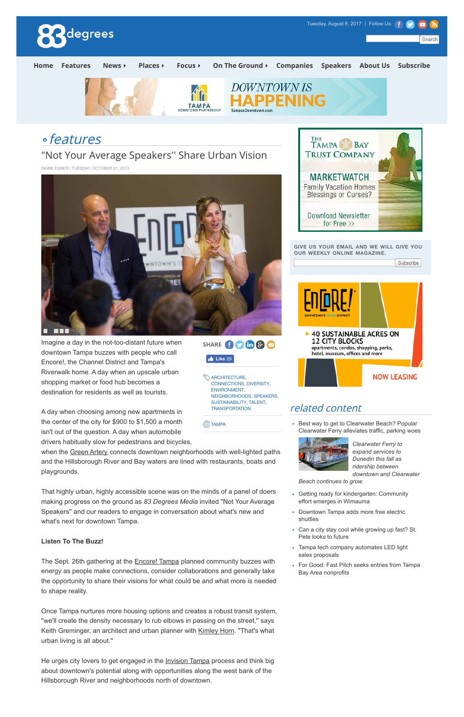

downtown Tampa buzzes with people who call Encore!, the Channel District and Tampa's Riverwalk home. A day when an upscale urban shopping market or food hub becomes a destination for residents as well as tourists.

when the Green Artery connects downtown neighborhoods with well-lighted paths and the Hillsborough River and Bay waters are lined with restaurants, boats and playgrounds.

A day when choosing among new apartments in the center of the city for \$900 to \$1,500 a month isn't out of the question. A day when automobile drivers habitually slow for pedestrians and bicycles,

The Sept. 26th gathering at the **Encore! Tampa planned community buzzes with** energy as people make connections, consider collaborations and generally take the opportunity to share their visions for what could be and what more is needed to shape reality.

• Best way to get to Clearwater Beach? Popular Clearwater Ferry alleviates traffic, parking woes

hotel, museum, offices and more



That highly urban, highly accessible scene was on the minds of a panel of doers making progress on the ground as *83 Degrees Media* invited "Not Your Average Speakers'' and our readers to engage in conversation about what's new and what's next for downtown Tampa.

## **Listen To The Buzz!**



**WARCHITECTURE,** CONNECTIONS, DIVERSITY, ENVIRONMENT, NEIGHBORHOODS, SPEAKERS, SUSTAINABILITY, TALENT, **TRANSPORTATION** 

**ED** TAMPA

Once Tampa nurtures more housing options and creates a robust transit system, ''we'll create the density necessary to rub elbows in passing on the street,'' says Keith Greminger, an architect and urban planner with Kimley Horn. "That's what urban living is all about.''

He urges city lovers to get engaged in the Invision Tampa process and think big about downtown's potential along with opportunities along the west bank of the Hillsborough River and neighborhoods north of downtown.

*Clearwater Ferry to expand services to Dunedin this fall as ridership between downtown and Clearwater*

**NOW LEASING** 

*Beach continues to grow.*

- Getting ready for kindergarten: Community effort emerges in Wimauma
- Downtown Tampa adds more free electric shuttles

- Can a city stay cool while growing up fast? St. Pete looks to future
- Tampa tech company automates LED light sales proposals
- For Good: Fast Pitch seeks entries from Tampa Bay Area nonprofits

related content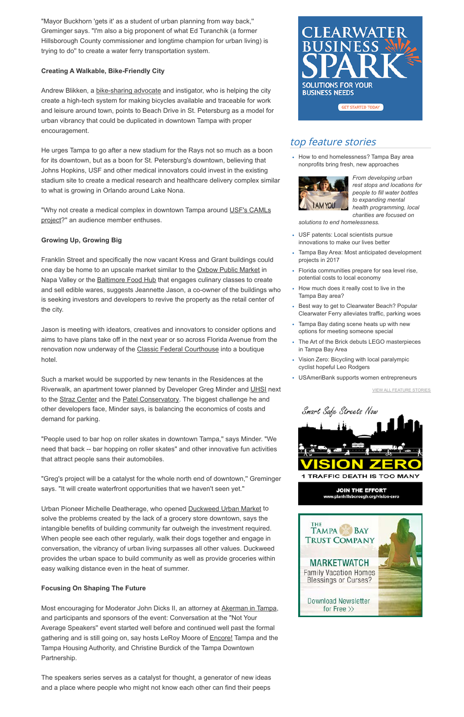"Mayor Buckhorn 'gets it' as a student of urban planning from way back,'' Greminger says. "I'm also a big proponent of what Ed Turanchik (a former Hillsborough County commissioner and longtime champion for urban living) is trying to do'' to create a water ferry transportation system.

## **Creating A Walkable, Bike-Friendly City**

Andrew Blikken, a **bike-sharing advocate** and instigator, who is helping the city create a high-tech system for making bicycles available and traceable for work and leisure around town, points to Beach Drive in St. Petersburg as a model for urban vibrancy that could be duplicated in downtown Tampa with proper encouragement.

"Why not create a medical complex in downtown Tampa around USF's CAMLs project?" an audience member enthuses.

He urges Tampa to go after a new stadium for the Rays not so much as a boon for its downtown, but as a boon for St. Petersburg's downtown, believing that Johns Hopkins, USF and other medical innovators could invest in the existing stadium site to create a medical research and healthcare delivery complex similar to what is growing in Orlando around Lake Nona.

# **Growing Up, Growing Big**

Franklin Street and specifically the now vacant Kress and Grant buildings could one day be home to an upscale market similar to the **Oxbow Public Market** in Napa Valley or the Baltimore Food Hub that engages culinary classes to create and sell edible wares, suggests Jeannette Jason, a co-owner of the buildings who is seeking investors and developers to revive the property as the retail center of the city.

Jason is meeting with ideators, creatives and innovators to consider options and aims to have plans take off in the next year or so across Florida Avenue from the renovation now underway of the Classic Federal Courthouse into a boutique hotel.

• How to end homelessness? Tampa Bay area nonprofits bring fresh, new approaches



Such a market would be supported by new tenants in the Residences at the Riverwalk, an apartment tower planned by Developer Greg Minder and UHSI next to the Straz Center and the Patel Conservatory. The biggest challenge he and other developers face, Minder says, is balancing the economics of costs and demand for parking.

"People used to bar hop on roller skates in downtown Tampa,'' says Minder. "We need that back -- bar hopping on roller skates" and other innovative fun activities that attract people sans their automobiles.

"Greg's project will be a catalyst for the whole north end of downtown,'' Greminger says. "It will create waterfront opportunities that we haven't seen yet.''

Urban Pioneer Michelle Deatherage, who opened Duckweed Urban Market to solve the problems created by the lack of a grocery store downtown, says the intangible benefits of building community far outweigh the investment required. When people see each other regularly, walk their dogs together and engage in conversation, the vibrancy of urban living surpasses all other values. Duckweed provides the urban space to build community as well as provide groceries within easy walking distance even in the heat of summer.



### **Focusing On Shaping The Future**

Most encouraging for Moderator John Dicks II, an attorney at Akerman in Tampa, and participants and sponsors of the event: Conversation at the "Not Your Average Speakers'' event started well before and continued well past the formal gathering and is still going on, say hosts LeRoy Moore of **Encore!** Tampa and the Tampa Housing Authority, and Christine Burdick of the Tampa Downtown Partnership.

The speakers series serves as a catalyst for thought, a generator of new ideas and a place where people who might not know each other can find their peeps

**TAMPA BAY TRUST COMPANY MARKETWATCH Family Vacation Homes Blessings or Curses?** Download Newsletter for Free  $\gg$ 

VIEW ALL FEATURE STORIES



# top feature stories

*From developing urban rest stops and locations for people to fill water bottles to expanding mental health programming, local charities are focused on*

*solutions to end homelessness.*

- USF patents: Local scientists pursue innovations to make our lives better
- Tampa Bay Area: Most anticipated development projects in 2017
- Florida communities prepare for sea level rise, potential costs to local economy
- How much does it really cost to live in the Tampa Bay area?
- Best way to get to Clearwater Beach? Popular Clearwater Ferry alleviates traffic, parking woes
- Tampa Bay dating scene heats up with new options for meeting someone special
- The Art of the Brick debuts LEGO masterpieces in Tampa Bay Area
- Vision Zero: Bicycling with local paralympic cyclist hopeful Leo Rodgers
- USAmeriBank supports women entrepreneurs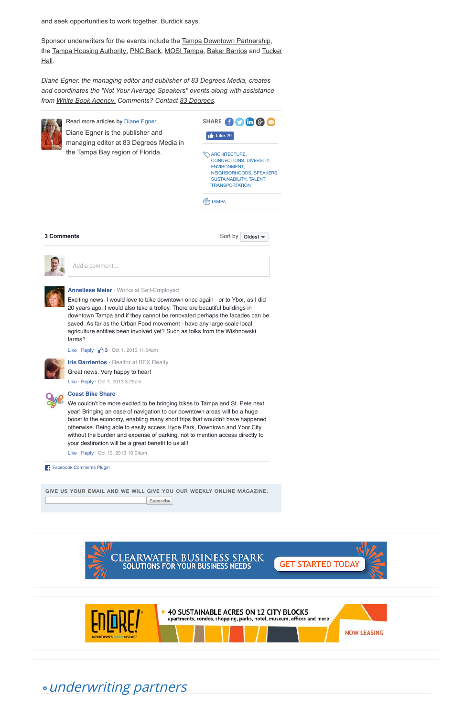Sponsor underwriters for the events include the Tampa Downtown Partnership, the Tampa Housing Authority, PNC Bank, MOSI Tampa, Baker Barrios and Tucker Hall.

and seek opportunities to work together, Burdick says.



**3 Comments** 

Sort by **Oldest**  $\blacktriangleright$ 



*Diane Egner, the managing editor and publisher of 83 Degrees Media, creates and coordinates the "Not Your Average Speakers'' events along with assistance from White Book Agency. Comments? Contact 83 Degrees.*



Read more articles by Diane Egner. Diane Egner is the publisher and managing editor at 83 Degrees Media in the Tampa Bay region of Florida.

**GIVE US YOUR EMAIL AND WE WILL GIVE YOU OUR WEEKLY ONLINE MAGAZINE.**

Subscribe







### **Anneliese Meier** · Works at Self-Employed

Exciting news. I would love to bike downtown once again - or to Ybor, as I did 20 years ago. I would also take a trolley. There are beautiful buildings in downtown Tampa and if they cannot be renovated perhaps the facades can be saved. As far as the Urban Food movement - have any large-scale local agriculture entities been involved yet? Such as folks from the Wishnowski farms?

Like  $\cdot$  Reply  $\cdot$   $\uparrow$  3  $\cdot$  Oct 1, 2013 11:54am



**Iris Barrientos** · Realtor at BEX Realty Great news. Very happy to hear! Like · Reply · Oct 7, 2013 3:29pm



#### **Coast Bike Share**

We couldn't be more excited to be bringing bikes to Tampa and St. Pete next year! Bringing an ease of navigation to our downtown areas will be a huge boost to the economy, enabling many short trips that wouldn't have happened otherwise. Being able to easily access Hyde Park, Downtown and Ybor City without the burden and expense of parking, not to mention access directly to your destination will be a great benefit to us all!

Like · Reply · Oct 10, 2013 10:04am

Facebook Comments Plugin

Add a comment...